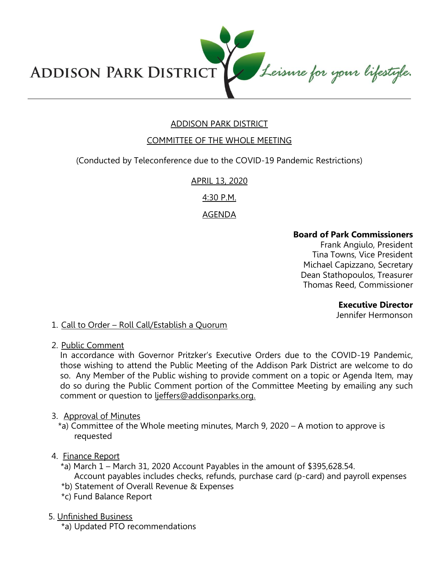Leisure for your lifestyle. **ADDISON PARK DISTRICT** 

# ADDISON PARK DISTRICT

### COMMITTEE OF THE WHOLE MEETING

(Conducted by Teleconference due to the COVID-19 Pandemic Restrictions)

APRIL 13, 2020

4:30 P.M.

#### AGENDA

#### **Board of Park Commissioners**

Frank Angiulo, President Tina Towns, Vice President Michael Capizzano, Secretary Dean Stathopoulos, Treasurer Thomas Reed, Commissioner

#### **Executive Director**

Jennifer Hermonson

1. Call to Order – Roll Call/Establish a Quorum

2. Public Comment

In accordance with Governor Pritzker's Executive Orders due to the COVID-19 Pandemic, those wishing to attend the Public Meeting of the Addison Park District are welcome to do so. Any Member of the Public wishing to provide comment on a topic or Agenda Item, may do so during the Public Comment portion of the Committee Meeting by emailing any such comment or question to ljeffers@addisonparks.org.

#### 3. Approval of Minutes

\*a) Committee of the Whole meeting minutes, March 9, 2020 – A motion to approve is requested

#### 4. Finance Report

- \*a) March 1 March 31, 2020 Account Payables in the amount of \$395,628.54. Account payables includes checks, refunds, purchase card (p-card) and payroll expenses
- \*b) Statement of Overall Revenue & Expenses
- \*c) Fund Balance Report
- 5. Unfinished Business

\*a) Updated PTO recommendations